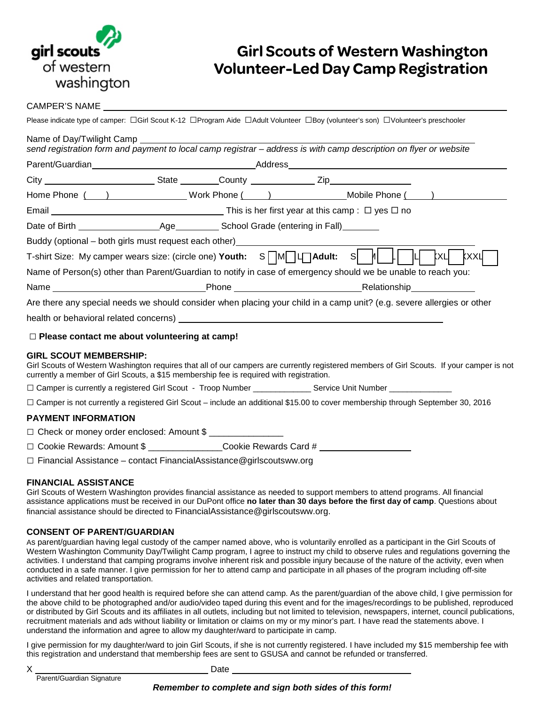

# **Girl Scouts of Western Washington Volunteer-Led Day Camp Registration**

### CAMPER'S NAME

| Please indicate type of camper: $\Box$ Girl Scout K-12 $\Box$ Program Aide $\Box$ Adult Volunteer $\Box$ Boy (volunteer's son) $\Box$ Volunteer's preschooler                                                                                                         |  |  |             |
|-----------------------------------------------------------------------------------------------------------------------------------------------------------------------------------------------------------------------------------------------------------------------|--|--|-------------|
|                                                                                                                                                                                                                                                                       |  |  |             |
|                                                                                                                                                                                                                                                                       |  |  |             |
|                                                                                                                                                                                                                                                                       |  |  |             |
| Home Phone ( ) Work Phone ( ) Mobile Phone ( )                                                                                                                                                                                                                        |  |  |             |
|                                                                                                                                                                                                                                                                       |  |  |             |
|                                                                                                                                                                                                                                                                       |  |  |             |
|                                                                                                                                                                                                                                                                       |  |  |             |
| Buddy (optional – both girls must request each other)<br>T-shirt Size: My camper wears size: (circle one) Youth: S M U Adult: S M U K U K U                                                                                                                           |  |  | <b>kxxu</b> |
| Name of Person(s) other than Parent/Guardian to notify in case of emergency should we be unable to reach you:                                                                                                                                                         |  |  |             |
|                                                                                                                                                                                                                                                                       |  |  |             |
| Are there any special needs we should consider when placing your child in a camp unit? (e.g. severe allergies or other                                                                                                                                                |  |  |             |
|                                                                                                                                                                                                                                                                       |  |  |             |
| $\Box$ Please contact me about volunteering at camp!                                                                                                                                                                                                                  |  |  |             |
| <b>GIRL SCOUT MEMBERSHIP:</b><br>Girl Scouts of Western Washington requires that all of our campers are currently registered members of Girl Scouts. If your camper is not<br>currently a member of Girl Scouts, a \$15 membership fee is required with registration. |  |  |             |
| □ Camper is currently a registered Girl Scout - Troop Number _______________Service Unit Number ______________                                                                                                                                                        |  |  |             |
| □ Camper is not currently a registered Girl Scout – include an additional \$15.00 to cover membership through September 30, 2016                                                                                                                                      |  |  |             |
| <b>PAYMENT INFORMATION</b>                                                                                                                                                                                                                                            |  |  |             |
| $\Box$ Chack or manoy arder anclosed: $\Lambda$ mount $\mathfrak{C}$                                                                                                                                                                                                  |  |  |             |

□ Check or money order enclosed: Amount \$

□ Cookie Rewards: Amount \$ **Definition** Cookie Rewards Card #

**□** Financial Assistance – contact FinancialAssistance@girlscoutsww.org

## **FINANCIAL ASSISTANCE**

Girl Scouts of Western Washington provides financial assistance as needed to support members to attend programs. All financial assistance applications must be received in our DuPont office **no later than 30 days before the first day of camp**. Questions about financial assistance should be directed to FinancialAssistance@girlscoutsww.org.

### **CONSENT OF PARENT/GUARDIAN**

As parent/guardian having legal custody of the camper named above, who is voluntarily enrolled as a participant in the Girl Scouts of Western Washington Community Day/Twilight Camp program, I agree to instruct my child to observe rules and regulations governing the activities. I understand that camping programs involve inherent risk and possible injury because of the nature of the activity, even when conducted in a safe manner. I give permission for her to attend camp and participate in all phases of the program including off-site activities and related transportation.

I understand that her good health is required before she can attend camp. As the parent/guardian of the above child, I give permission for the above child to be photographed and/or audio/video taped during this event and for the images/recordings to be published, reproduced or distributed by Girl Scouts and its affiliates in all outlets, including but not limited to television, newspapers, internet, council publications, recruitment materials and ads without liability or limitation or claims on my or my minor's part. I have read the statements above. I understand the information and agree to allow my daughter/ward to participate in camp.

I give permission for my daughter/ward to join Girl Scouts, if she is not currently registered. I have included my \$15 membership fee with this registration and understand that membership fees are sent to GSUSA and cannot be refunded or transferred.

| S |        | i<br>×<br>٦ |  |
|---|--------|-------------|--|
|   |        |             |  |
|   | ٥<br>I |             |  |

Parent/Guardian Signature **National System Property** Date \_\_

*Remember to complete and sign both sides of this form!*